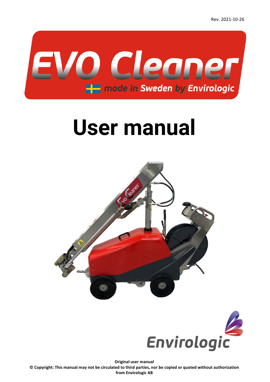

# **User manual**





**Original user manual**

**© Copyright: This manual may not be circulated to third parties, nor be copied or quoted without authorization from Envirologic AB**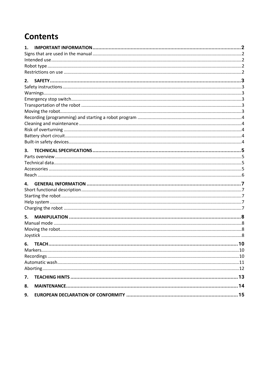# **Contents**

| 1. |  |
|----|--|
|    |  |
|    |  |
|    |  |
|    |  |
| 2. |  |
|    |  |
|    |  |
|    |  |
|    |  |
|    |  |
|    |  |
|    |  |
|    |  |
|    |  |
|    |  |
| 3. |  |
|    |  |
|    |  |
|    |  |
|    |  |
| 4. |  |
|    |  |
|    |  |
|    |  |
|    |  |
|    |  |
| 5. |  |
|    |  |
|    |  |
|    |  |
| 6. |  |
|    |  |
|    |  |
|    |  |
|    |  |
| 7. |  |
| 8. |  |
| 9. |  |
|    |  |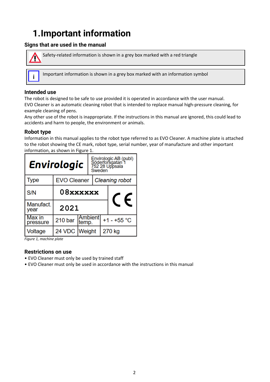# <span id="page-2-0"></span>**1.Important information**

### <span id="page-2-1"></span>**Signs that are used in the manual**



Safety-related information is shown in a grey box marked with a red triangle

Important information is shown in a grey box marked with an information symbol **i**

### <span id="page-2-2"></span>**Intended use**

The robot is designed to be safe to use provided it is operated in accordance with the user manual. EVO Cleaner is an automatic cleaning robot that is intended to replace manual high-pressure cleaning, for example cleaning of pens.

Any other use of the robot is inappropriate. If the instructions in this manual are ignored, this could lead to accidents and harm to people, the environment or animals.

### <span id="page-2-3"></span>**Robot type**

Information in this manual applies to the robot type referred to as EVO Cleaner. A machine plate is attached to the robot showing the CE mark, robot type, serial number, year of manufacture and other important information, as shown in [Figure 1.](#page-2-5)

| <b>Envirologic</b> | Envirologic AB (publ)<br>Söderforsgatan 1<br>752 28 Uppsala<br>Sweden |       |                       |  |               |  |
|--------------------|-----------------------------------------------------------------------|-------|-----------------------|--|---------------|--|
| <b>Type</b>        | <b>EVO Cleaner</b>                                                    |       | <b>Cleaning robot</b> |  |               |  |
| S/N                | 08xxxxxx<br>€                                                         |       |                       |  |               |  |
| Manufact.<br>year  | 2021                                                                  |       |                       |  |               |  |
| Max in<br>pressure | 210 <sub>bar</sub>                                                    | temp. | <b>Ambientl</b>       |  | $+1 - +55$ °C |  |
| Voltage            | 24 VDC Weight                                                         |       | 270 kg                |  |               |  |

<span id="page-2-5"></span>*Figure 1, machine plate*

### <span id="page-2-4"></span>**Restrictions on use**

- EVO Cleaner must only be used by trained staff
- EVO Cleaner must only be used in accordance with the instructions in this manual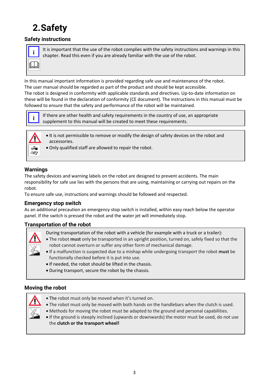# <span id="page-3-0"></span>**2.Safety**

# <span id="page-3-1"></span>**Safety instructions**

It is important that the use of the robot complies with the safety instructions and warnings in this chapter. Read this even if you are already familiar with the use of the robot. **i**

In this manual important information is provided regarding safe use and maintenance of the robot. The user manual should be regarded as part of the product and should be kept accessible.

The robot is designed in conformity with applicable standards and directives. Up-to-date information on these will be found in the declaration of conformity (CE document). The instructions in this manual must be followed to ensure that the safety and performance of the robot will be maintained.



If there are other health and safety requirements in the country of use, an appropriate **i** if there are other health and safety requirements in the country of use, supplement to this manual will be created to meet these requirements.



• It is not permissible to remove or modify the design of safety devices on the robot and accessories.

• Only qualified staff are allowed to repair the robot.

### <span id="page-3-2"></span>**Warnings**

The safety devices and warning labels on the robot are designed to prevent accidents. The main responsibility for safe use lies with the persons that are using, maintaining or carrying out repairs on the robot.

To ensure safe use, instructions and warnings should be followed and respected.

### <span id="page-3-3"></span>**Emergency stop switch**

As an additional precaution an emergency stop switch is installed, within easy reach below the operator panel. If the switch is pressed the robot and the water jet will immediately stop.

### <span id="page-3-4"></span>**Transportation of the robot**



- During transportation of the robot with a vehicle (for example with a truck or a trailer):
- The robot **must** only be transported in an upright position, turned on, safely fixed so that the robot cannot overturn or suffer any other form of mechanical damage.
- If a malfunction is suspected due to a mishap while undergoing transport the robot **must** be functionally checked before it is put into use.
- If needed, the robot should be lifted in the chassis.
- During transport, secure the robot by the chassis.

### <span id="page-3-5"></span>**Moving the robot**



- The robot must only be moved when it's turned on.
- The robot must only be moved with both hands on the handlebars when the clutch is used.
- Methods for moving the robot must be adapted to the ground and personal capabilities.
- If the ground is steeply inclined (upwards or downwards) the motor must be used, do not use the **clutch or the transport wheel!**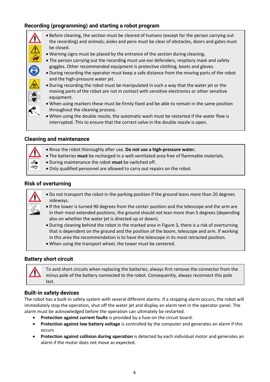# <span id="page-4-0"></span>**Recording (programming) and starting a robot program**

- Before cleaning, the section must be cleared of humans (except for the person carrying out the recording) and animals; aisles and pens must be clear of obstacles, doors and gates must be closed.
- Warning signs must be placed by the entrance of the section during cleaning.
- The person carrying out the recording must use ear defenders, respitory mask and safety goggles. Other recommended equipment is protective clothing, boots and gloves.
- During recording the operator must keep a safe distance from the moving parts of the robot and the high-pressure water jet.
- During recording the robot must be manipulated in such a way that the water jet or the moving parts of the robot are not in contact with sensitive electronics or other sensitive equipment.
- When using markers these must be firmly fixed and be able to remain in the same position throughout the cleaning process.
- When using the double nozzle, the automatic wash must be restarted if the water flow is interrupted. This to ensure that the correct valve in the double nozzle is open.

### <span id="page-4-1"></span>**Cleaning and maintenance**

- Rinse the robot thoroughly after use. **Do not use a high-pressure water.**
- The batteries **must** be recharged in a well-ventilated area free of flammable materials.
- During maintenance the robot **must** be switched off.
- Only qualified personnel are allowed to carry out repairs on the robot.

### <span id="page-4-2"></span>**Risk of overturning**



(F)

- Do not transport the robot in the parking position if the ground leans more than 20 degrees sideways.
- If the tower is turned 90 degrees from the center position and the telescope and the arm are in their most extended positions, the ground should not lean more than 5 degrees (depending also on whether the water jet is directed up or down).
- During cleaning behind the robot in the marked area in [Figure 3,](#page-6-1) there is a risk of overturning that is dependent on the ground and the position of the boom, telescope and arm. If working in this area the recommendation is to have the telescope in its most retracted position.
- When using the transport wheel, the tower must be centered.

### <span id="page-4-3"></span>**Battery short circuit**

•

To avid short circuits when replacing the batteries, always first remove the connector from the minus pole of the battery connected to the robot. Consequently, always reconnect this pole last.

### <span id="page-4-4"></span>**Built-in safety devices**

The robot has a built-in safety system with several different alarms. If a stopping alarm occurs, the robot will immediately stop the operation, shut off the water jet and display an alarm text in the operator panel. The alarm must be acknowledged before the operation can ultimately be restarted.

- **Protection against current faults** is provided by a fuse on the circuit board.
- **Protection against low battery voltage** is controlled by the computer and generates an alarm if this occurs
- **Protection against collision during operation** is detected by each individual motor and generates an alarm if the motor does not move as expected.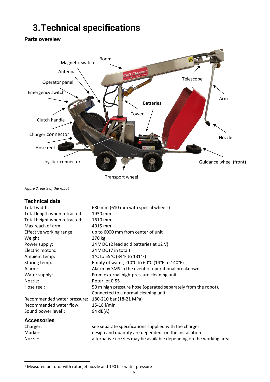# <span id="page-5-0"></span>**3.Technical specifications**

# <span id="page-5-1"></span>**Parts overview**



Transport wheel

<span id="page-5-4"></span>*Figure 2, parts of the robot*

### <span id="page-5-2"></span>**Technical data**

| Total width:                     | 680 mm (610 mm with special wheels)                                                      |
|----------------------------------|------------------------------------------------------------------------------------------|
| Total length when retracted:     | 1930 mm                                                                                  |
| Total height when retracted:     | 1610 mm                                                                                  |
| Max reach of arm:                | 4015 mm                                                                                  |
| Effective working range:         | up to 6000 mm from center of unit                                                        |
| Weight:                          | 270 kg                                                                                   |
| Power supply:                    | 24 V DC (2 lead acid batteries at 12 V)                                                  |
| Electric motors:                 | 24 V DC (7 in total)                                                                     |
| Ambient temp:                    | 1°C to 55°C (34°F to 131°F)                                                              |
| Storing temp.:                   | Empty of water, $-10^{\circ}$ C to 60 $^{\circ}$ C (14 $^{\circ}$ F to 140 $^{\circ}$ F) |
| Alarm:                           | Alarm by SMS in the event of operational breakdown                                       |
| Water supply:                    | From external high-pressure cleaning unit                                                |
| Nozzle:                          | Rotor jet 0.55                                                                           |
| Hose reel:                       | 50 m high pressure hose (operated separately from the robot).                            |
|                                  | Connected to a normal cleaning unit.                                                     |
| Recommended water pressure:      | 180-210 bar (18-21 MPa)                                                                  |
| Recommended water flow:          | 15-18 l/min                                                                              |
| Sound power level <sup>1</sup> : | 94 dB(A)                                                                                 |
| <b>Accessories</b>               |                                                                                          |
| Charger:                         | see separate specifications supplied with the charger                                    |
| Markers:                         | design and quantity are dependent on the installation                                    |
| Nozzle:                          | alternative nozzles may be available depending on the working area                       |

<span id="page-5-3"></span><sup>1</sup> Measured on rotor with rotor jet nozzle and 190 bar water pressure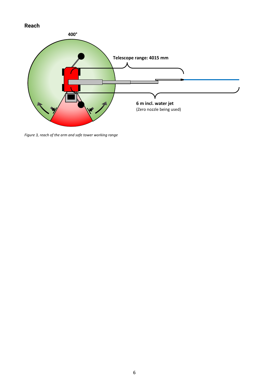# <span id="page-6-0"></span>**Reach**



<span id="page-6-1"></span>*Figure 3, reach of the arm and safe tower working range*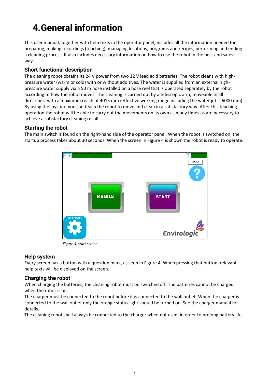# <span id="page-7-0"></span>**4.General information**

This user manual, together with help texts in the operator panel, includes all the information needed for preparing, making recordings (teaching), managing locations, programs and recipes, performing and ending a cleaning process. It also includes necessary information on how to use the robot in the best and safest way.

### <span id="page-7-1"></span>**Short functional description**

The cleaning robot obtains its 24 V power from two 12 V lead acid batteries. The robot cleans with highpressure water (warm or cold) with or without additives. The water is supplied from an external highpressure water supply via a 50 m hose installed on a hose reel that is operated separately by the robot according to how the robot moves. The cleaning is carried out by a telescopic arm, moveable in all directions, with a maximum reach of 4015 mm (effective working range including the water jet is 6000 mm). By using the joystick, you can teach the robot to move and clean in a satisfactory way. After this teaching operation the robot will be able to carry out the movements on its own as many times as are necessary to achieve a satisfactory cleaning result.

### <span id="page-7-2"></span>**Starting the robot**

The main switch is found on the right-hand side of the operator panel. When the robot is switched on, the startup process takes about 30 seconds. When the screen in [Figure 4](#page-7-5) is shown the robot is ready to operate.



<span id="page-7-5"></span>*Figure 4, start screen*

### <span id="page-7-3"></span>**Help system**

Every screen has a button with a question mark, as seen in [Figure 4.](#page-7-5) When pressing that button, relevant help texts will be displayed on the screen.

### <span id="page-7-4"></span>**Charging the robot**

When charging the batteries, the cleaning robot must be switched off. The batteries cannot be charged when the robot is on.

The charger must be connected to the robot before it is connected to the wall outlet. When the charger is connected to the wall outlet only the orange status light should be turned on. See the charger manual for details.

The cleaning robot shall always be connected to the charger when not used, in order to prolong battery life.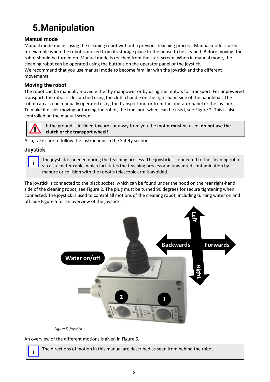# <span id="page-8-0"></span>**5.Manipulation**

# <span id="page-8-1"></span>**Manual mode**

Manual mode means using the cleaning robot without a previous teaching process. Manual mode is used for example when the robot is moved from its storage place to the house to be cleaned. Before moving, the robot should be turned on. Manual mode is reached from the start screen. When in manual mode, the cleaning robot can be operated using the buttons on the operator panel or the joystick. We recommend that you use manual mode to become familiar with the joystick and the different movements.

### <span id="page-8-2"></span>**Moving the robot**

The robot can be manually moved either by manpower or by using the motors for transport. For unpowered transport, the robot is declutched using the clutch handle on the right-hand side of the handlebar. The robot can also be manually operated using the transport motor from the operator panel or the joystick. To make it easier moving or turning the robot, the transport wheel can be used, see [Figure 2.](#page-5-4) This is also controlled on the manual screen.



If the ground is inclined towards or away from you the motor **must** be used, **do not use the clutch or the transport wheel!**

Also, take care to follow the instructions in the [Safety](#page-3-0) section.

### <span id="page-8-3"></span>**Joystick**

**i**

The joystick is needed during the teaching process. The joystick is connected to the cleaning robot via a six-meter cable, which facilitates the teaching process and unwanted contamination by manure or collision with the robot's telescopic arm is avoided.

The joystick is connected to the black socket, which can be found under the hood on the rear right-hand side of the cleaning robot, see [Figure 2.](#page-5-4) The plug must be turned 90 degrees for secure tightening when connected. The joystick is used to control all motions of the cleaning robot, including turning water on and off. See [Figure 5](#page-8-4) for an overview of the joystick.



<span id="page-8-4"></span>*Figure 5, joystick*

An overview of the different motions is given in [Figure 6.](#page-9-0)



The directions of motion in this manual are described as seen from behind the robot **i**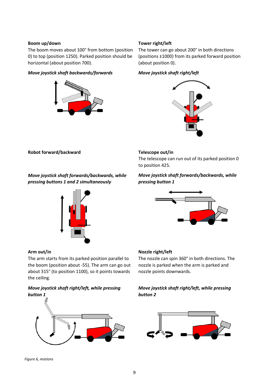#### **Boom up/down**

The boom moves about 100° from bottom (position 0) to top (position 1250). Parked position should be horizontal (about position 700).

#### *Move joystick shaft backwards/forwards*



#### **Tower right/left**

The tower can go about 200° in both directions (positions ±1000) from its parked forward position (about position 0).

#### *Move joystick shaft right/left*



**Robot forward/backward**

*Move joystick shaft forwards/backwards, while pressing buttons 1 and 2 simultaneously* 



#### **Arm out/in**

The arm starts from its parked position parallel to the boom (position about -55). The arm can go out about 315° (to position 1100), so it points towards the ceiling.

### *Move joystick shaft right/left, while pressing button 1*



#### <span id="page-9-0"></span>*Figure 6, motions*

#### **Telescope out/in**

The telescope can run out of its parked position 0 to position 425.

### *Move joystick shaft forwards/backwards, while pressing button 1*



#### **Nozzle right/left**

The nozzle can spin 360° in both directions. The nozzle is parked when the arm is parked and nozzle points downwards.

*Move joystick shaft right/left, while pressing button 2*

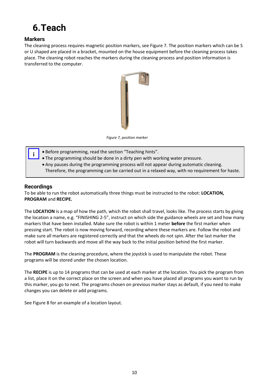# <span id="page-10-0"></span>**6.Teach**

### <span id="page-10-1"></span>**Markers**

The cleaning process requires magnetic position markers, see [Figure 7.](#page-10-3) The position markers which can be S or U shaped are placed in a bracket, mounted on the house equipment before the cleaning process takes place. The cleaning robot reaches the markers during the cleaning process and position information is transferred to the computer.

<span id="page-10-3"></span>

*Figure 7, position marker*

- Before programming, read the section "[Teaching hints](#page-13-0)".
- The programming should be done in a dirty pen with working water pressure.
- Any pauses during the programming process will not appear during automatic cleaning. Therefore, the programming can be carried out in a relaxed way, with no requirement for haste.

### <span id="page-10-2"></span>**Recordings**

**i**

To be able to run the robot automatically three things must be instructed to the robot: **LOCATION, PROGRAM** and **RECIPE.**

The **LOCATION** is a map of how the path, which the robot shall travel, looks like. The process starts by giving the location a name, e.g. "FINISHING 2-5", instruct on which side the guidance wheels are set and how many markers that have been installed. Make sure the robot is within 1 meter **before** the first marker when pressing start. The robot is now moving forward, recording where these markers are. Follow the robot and make sure all markers are registered correctly and that the wheels do not spin. After the last marker the robot will turn backwards and move all the way back to the initial position behind the first marker.

The **PROGRAM** is the cleaning procedure, where the joystick is used to manipulate the robot. These programs will be stored under the chosen location.

The **RECIPE** is up to 14 programs that can be used at each marker at the location. You pick the program from a list, place it on the correct place on the screen and when you have placed all programs you want to run by this marker, you go to next. The programs chosen on previous marker stays as default, if you need to make changes you can delete or add programs.

See [Figure 8](#page-11-1) for an example of a location layout.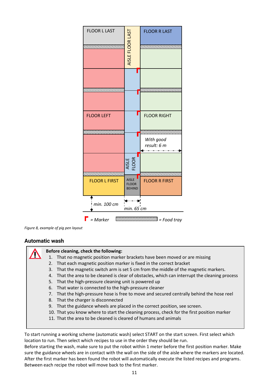

<span id="page-11-1"></span>

### <span id="page-11-0"></span>**Automatic wash**



### **Before cleaning, check the following:**

- 1. That no magnetic position marker brackets have been moved or are missing
- 2. That each magnetic position marker is fixed in the correct bracket
- 3. That the magnetic switch arm is set 5 cm from the middle of the magnetic markers.
- 4. That the area to be cleaned is clear of obstacles, which can interrupt the cleaning process
- 5. That the high-pressure cleaning unit is powered up
- 6. That water is connected to the high-pressure cleaner
- 7. That the high-pressure hose is free to move and secured centrally behind the hose reel
- 8. That the charger is disconnected
- 9. That the guidance wheels are placed in the correct position, see screen.
- 10. That you know where to start the cleaning process, check for the first position marker
- 11. That the area to be cleaned is cleared of humans and animals

To start running a working scheme (automatic wash) select START on the start screen. First select which location to run. Then select which recipes to use in the order they should be run.

Before starting the wash, make sure to put the robot within 1 meter before the first position marker. Make sure the guidance wheels are in contact with the wall on the side of the aisle where the markers are located. After the first marker has been found the robot will automatically execute the listed recipes and programs. Between each recipe the robot will move back to the first marker.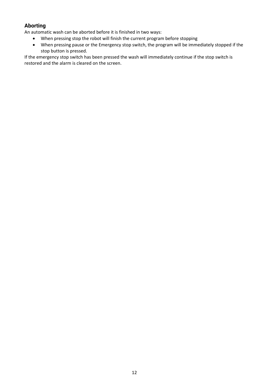# <span id="page-12-0"></span>**Aborting**

An automatic wash can be aborted before it is finished in two ways:

- When pressing stop the robot will finish the current program before stopping
- When pressing pause or the Emergency stop switch, the program will be immediately stopped if the stop button is pressed.

If the emergency stop switch has been pressed the wash will immediately continue if the stop switch is restored and the alarm is cleared on the screen.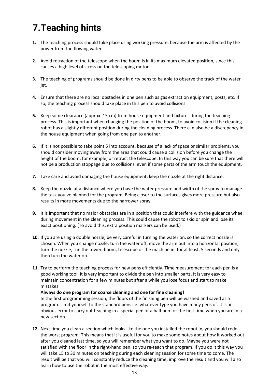# <span id="page-13-0"></span>**7.Teaching hints**

- **1.** The teaching process should take place using working pressure, because the arm is affected by the power from the flowing water.
- **2.** Avoid retraction of the telescope when the boom is in its maximum elevated position, since this causes a high level of stress on the telescoping motor.
- **3.** The teaching of programs should be done in dirty pens to be able to observe the track of the water jet.
- **4.** Ensure that there are no local obstacles in one pen such as gas extraction equipment, posts, etc. If so, the teaching process should take place in this pen to avoid collisions.
- **5.** Keep some clearance (approx. 15 cm) from house equipment and fixtures during the teaching process. This is important when changing the position of the boom, to avoid collision if the cleaning robot has a slightly different position during the cleaning process. There can also be a discrepancy in the house equipment when going from one pen to another.
- **6.** If it is not possible to take point 5 into account, because of a lack of space or similar problems, you should consider moving away from the area that could cause a collision before you change the height of the boom, for example, or retract the telescope. In this way you can be sure that there will not be a production stoppage due to collisions, even if some parts of the arm touch the equipment.
- **7.** Take care and avoid damaging the house equipment; keep the nozzle at the right distance.
- **8.** Keep the nozzle at a distance where you have the water pressure and width of the spray to manage the task you've planned for the program. Being closer to the surfaces gives more pressure but also results in more movements due to the narrower spray.
- **9.** It is important that no major obstacles are in a position that could interfere with the guidance wheel during movement in the cleaning process. This could cause the robot to skid or spin and lose its exact positioning. (To avoid this, extra position markers can be used.)
- **10.** If you are using a double nozzle, be very careful in turning the water on, so the correct nozzle is chosen. When you change nozzle, turn the water off, move the arm out into a horizontal position, turn the nozzle, run the tower, boom, telescope or the machine in, for at least, 5 seconds and only then turn the water on.
- **11.** Try to perform the teaching process for new pens efficiently. Time measurement for each pen is a good working tool. It is very important to divide the pen into smaller parts. It is very easy to maintain concentration for a few minutes but after a while you lose focus and start to make mistakes.

#### **Always do one program for coarse cleaning and one for fine cleaning!**

In the first programming session, the floors of the finishing pen will be washed and saved as a program. Limit yourself to the standard pens i.e. whatever type you have many pens of. It is an obvious error to carry out teaching in a special pen or a half pen for the first time when you are in a new section.

**12.** Next time you clean a section which looks like the one you installed the robot in, you should redo the worst program. This means that it is useful for you to make some notes about how it worked out after you cleaned last time, so you will remember what you want to do. Maybe you were not satisfied with the floor in the right-hand pen, so you re-teach that program. If you do it this way you will take 15 to 30 minutes on teaching during each cleaning session for some time to come. The result will be that you will constantly reduce the cleaning time, improve the result and you will also learn how to use the robot in the most effective way.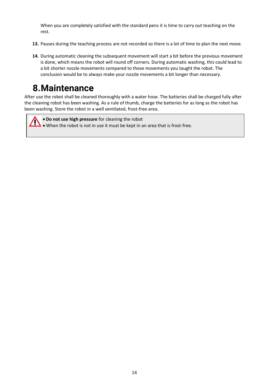When you are completely satisfied with the standard pens it is time to carry out teaching on the rest.

- **13.** Pauses during the teaching process are not recorded so there is a lot of time to plan the next move.
- **14.** During automatic cleaning the subsequent movement will start a bit before the previous movement is done, which means the robot will round off corners. During automatic washing, this could lead to a bit shorter nozzle movements compared to those movements you taught the robot. The conclusion would be to always make your nozzle movements a bit longer than necessary.

# <span id="page-14-0"></span>**8.Maintenance**

After use the robot shall be cleaned thoroughly with a water hose. The batteries shall be charged fully after the cleaning robot has been washing. As a rule of thumb, charge the batteries for as long as the robot has been washing. Store the robot in a well ventilated, frost-free area.

• **Do not use high pressure** for cleaning the robot • When the robot is not in use it must be kept in an area that is frost-free.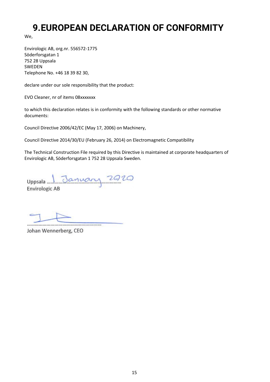# <span id="page-15-0"></span>**9.EUROPEAN DECLARATION OF CONFORMITY**

We,

Envirologic AB, org.nr. 556572-1775 Söderforsgatan 1 752 28 Uppsala SWEDEN Telephone No. +46 18 39 82 30,

declare under our sole responsibility that the product:

EVO Cleaner, nr of items 08xxxxxxx

to which this declaration relates is in conformity with the following standards or other normative documents:

Council Directive 2006/42/EC (May 17, 2006) on Machinery,

Council Directive 2014/30/EU (February 26, 2014) on Electromagnetic Compatibility

The Technical Construction File required by this Directive is maintained at corporate headquarters of Envirologic AB, Söderforsgatan 1 752 28 Uppsala Sweden.

Uppsala January 2020 **Envirologic AB** 

Johan Wennerberg, CEO